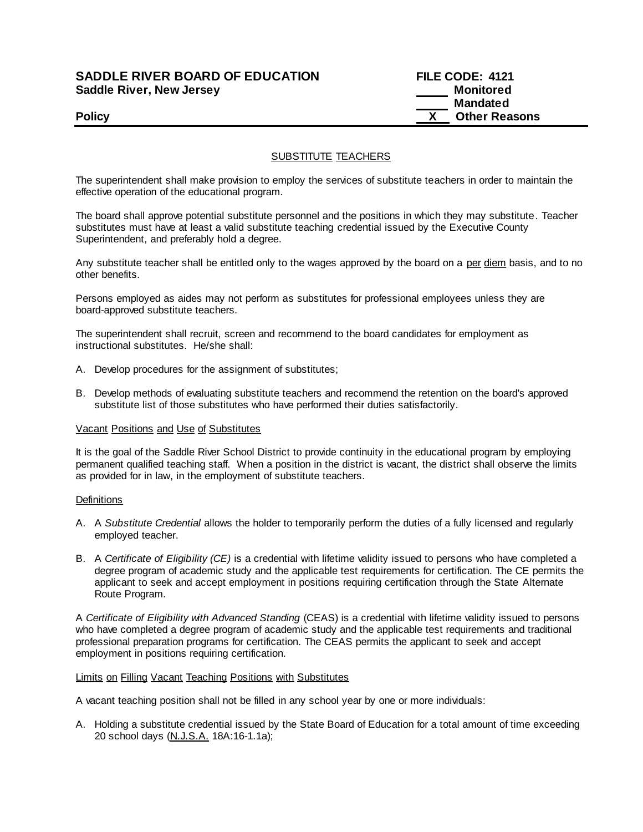#### **SADDLE RIVER BOARD OF EDUCATION FILE CODE: 4121 Saddle River, New Jersey Monitored Example 2018 19 No. 2018 19:30 Monitored**

# **Mandated Policy COLLEGENS Policy COLLEGENS COLLEGENS COLLEGENS X Other Reasons**

### SUBSTITUTE TEACHERS

The superintendent shall make provision to employ the services of substitute teachers in order to maintain the effective operation of the educational program.

The board shall approve potential substitute personnel and the positions in which they may substitute. Teacher substitutes must have at least a valid substitute teaching credential issued by the Executive County Superintendent, and preferably hold a degree.

Any substitute teacher shall be entitled only to the wages approved by the board on a per diem basis, and to no other benefits.

Persons employed as aides may not perform as substitutes for professional employees unless they are board-approved substitute teachers.

The superintendent shall recruit, screen and recommend to the board candidates for employment as instructional substitutes. He/she shall:

- A. Develop procedures for the assignment of substitutes;
- B. Develop methods of evaluating substitute teachers and recommend the retention on the board's approved substitute list of those substitutes who have performed their duties satisfactorily.

#### Vacant Positions and Use of Substitutes

It is the goal of the Saddle River School District to provide continuity in the educational program by employing permanent qualified teaching staff. When a position in the district is vacant, the district shall observe the limits as provided for in law, in the employment of substitute teachers.

#### **Definitions**

- A. A *Substitute Credential* allows the holder to temporarily perform the duties of a fully licensed and regularly employed teacher.
- B. A *Certificate of Eligibility (CE)* is a credential with lifetime validity issued to persons who have completed a degree program of academic study and the applicable test requirements for certification. The CE permits the applicant to seek and accept employment in positions requiring certification through the State Alternate Route Program.

A *Certificate of Eligibility with Advanced Standing* (CEAS) is a credential with lifetime validity issued to persons who have completed a degree program of academic study and the applicable test requirements and traditional professional preparation programs for certification. The CEAS permits the applicant to seek and accept employment in positions requiring certification.

#### Limits on Filling Vacant Teaching Positions with Substitutes

A vacant teaching position shall not be filled in any school year by one or more individuals:

A. Holding a substitute credential issued by the State Board of Education for a total amount of time exceeding 20 school days (N.J.S.A. 18A:16-1.1a);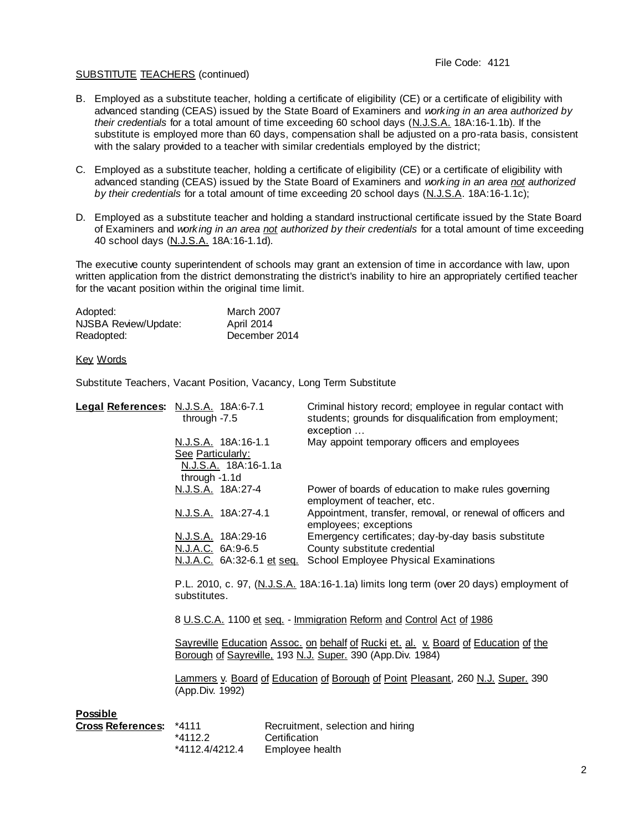#### SUBSTITUTE TEACHERS (continued)

- B. Employed as a substitute teacher, holding a certificate of eligibility (CE) or a certificate of eligibility with advanced standing (CEAS) issued by the State Board of Examiners and *working in an area authorized by their credentials* for a total amount of time exceeding 60 school days (N.J.S.A. 18A:16-1.1b). If the substitute is employed more than 60 days, compensation shall be adjusted on a pro-rata basis, consistent with the salary provided to a teacher with similar credentials employed by the district;
- C. Employed as a substitute teacher, holding a certificate of eligibility (CE) or a certificate of eligibility with advanced standing (CEAS) issued by the State Board of Examiners and *working in an area not authorized by their credentials* for a total amount of time exceeding 20 school days (N.J.S.A. 18A:16-1.1c);
- D. Employed as a substitute teacher and holding a standard instructional certificate issued by the State Board of Examiners and *working in an area not authorized by their credentials* for a total amount of time exceeding 40 school days (N.J.S.A. 18A:16-1.1d).

The executive county superintendent of schools may grant an extension of time in accordance with law, upon written application from the district demonstrating the district's inability to hire an appropriately certified teacher for the vacant position within the original time limit.

| Adopted:             | <b>March 2007</b> |
|----------------------|-------------------|
| NJSBA Review/Update: | April 2014        |
| Readopted:           | December 2014     |

Key Words

Substitute Teachers, Vacant Position, Vacancy, Long Term Substitute

|                 | Legal References: N.J.S.A. 18A:6-7.1<br>through $-7.5$                                                                                                                                                                                                                                                                           | Criminal history record; employee in regular contact with<br>students; grounds for disqualification from employment;<br>exception |  |
|-----------------|----------------------------------------------------------------------------------------------------------------------------------------------------------------------------------------------------------------------------------------------------------------------------------------------------------------------------------|-----------------------------------------------------------------------------------------------------------------------------------|--|
|                 | N.J.S.A. 18A:16-1.1<br>See Particularly:<br>N.J.S.A. 18A:16-1.1a<br>through -1.1d                                                                                                                                                                                                                                                | May appoint temporary officers and employees                                                                                      |  |
|                 | N.J.S.A. 18A:27-4                                                                                                                                                                                                                                                                                                                | Power of boards of education to make rules governing<br>employment of teacher, etc.                                               |  |
|                 | N.J.S.A. 18A:27-4.1                                                                                                                                                                                                                                                                                                              | Appointment, transfer, removal, or renewal of officers and<br>employees; exceptions                                               |  |
|                 | N.J.S.A. 18A:29-16<br>N.J.A.C. 6A:9-6.5                                                                                                                                                                                                                                                                                          | Emergency certificates; day-by-day basis substitute<br>County substitute credential                                               |  |
|                 |                                                                                                                                                                                                                                                                                                                                  | N.J.A.C. 6A:32-6.1 et seq. School Employee Physical Examinations                                                                  |  |
|                 | P.L. 2010, c. 97, (N.J.S.A. 18A:16-1.1a) limits long term (over 20 days) employment of<br>substitutes.                                                                                                                                                                                                                           |                                                                                                                                   |  |
|                 | 8 U.S.C.A. 1100 et seq. - Immigration Reform and Control Act of 1986<br>Sayreville Education Assoc. on behalf of Rucki et. al. v. Board of Education of the<br>Borough of Sayreville, 193 N.J. Super. 390 (App. Div. 1984)<br>Lammers y. Board of Education of Borough of Point Pleasant, 260 N.J. Super. 390<br>(App.Div. 1992) |                                                                                                                                   |  |
|                 |                                                                                                                                                                                                                                                                                                                                  |                                                                                                                                   |  |
|                 |                                                                                                                                                                                                                                                                                                                                  |                                                                                                                                   |  |
| <b>Possible</b> |                                                                                                                                                                                                                                                                                                                                  |                                                                                                                                   |  |

| Cross References: *4111 |                | Recruitment, selection and hiring |
|-------------------------|----------------|-----------------------------------|
|                         | *4112.2        | Certification                     |
|                         | *4112.4/4212.4 | Employee health                   |